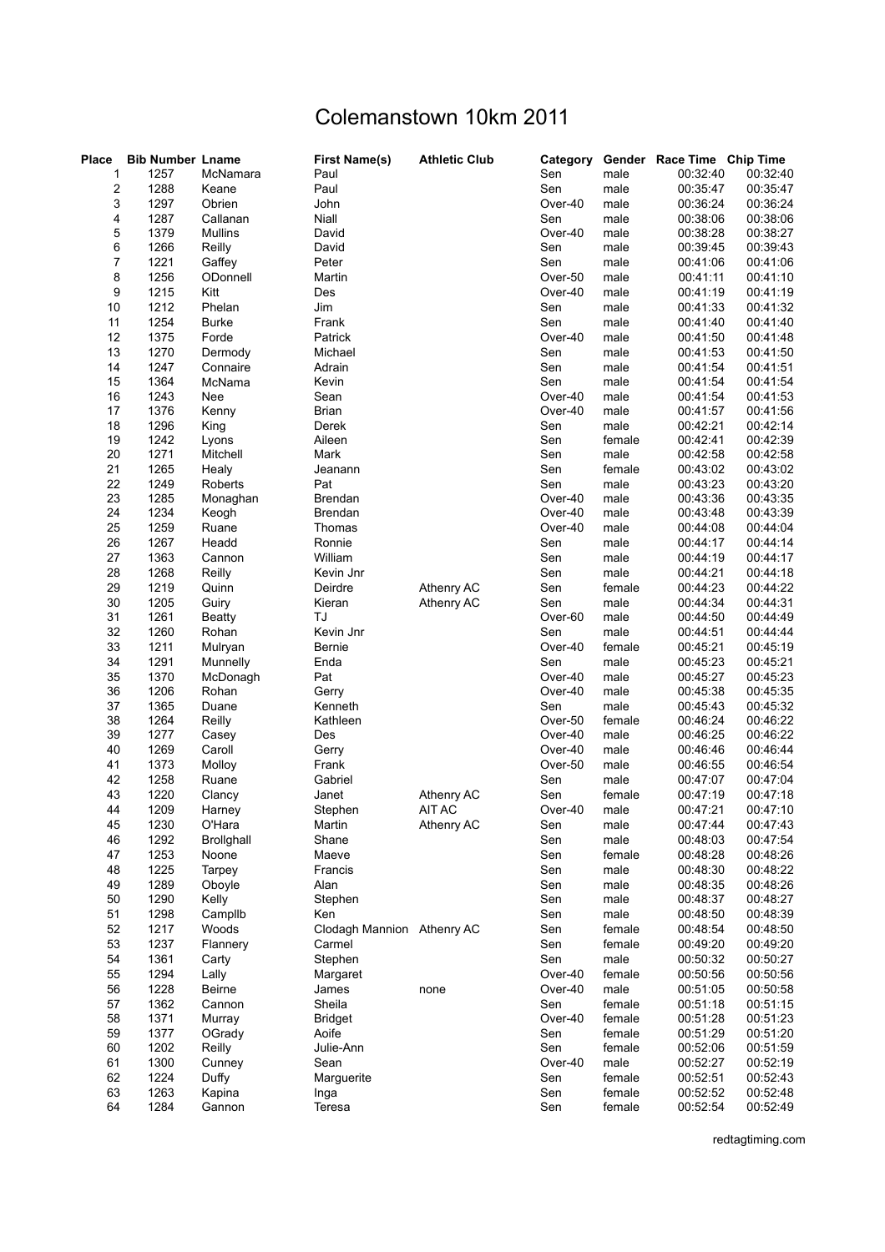## Colemanstown 10km 2011

| <b>Place</b>            | <b>Bib Number Lname</b> |                   | <b>First Name(s)</b>       | <b>Athletic Club</b> | Category       |                | Gender Race Time Chip Time |                      |
|-------------------------|-------------------------|-------------------|----------------------------|----------------------|----------------|----------------|----------------------------|----------------------|
| 1                       | 1257                    | McNamara          | Paul                       |                      | Sen            | male           | 00:32:40                   | 00:32:40             |
| $\overline{\mathbf{c}}$ | 1288                    | Keane             | Paul                       |                      | Sen            | male           | 00:35:47                   | 00:35:47             |
| 3                       | 1297                    | Obrien            | John                       |                      | Over-40        | male           | 00:36:24                   | 00:36:24             |
| 4                       | 1287                    | Callanan          | Niall                      |                      | Sen            | male           | 00:38:06                   | 00:38:06             |
| 5                       | 1379                    | <b>Mullins</b>    | David                      |                      | Over-40        | male           | 00:38:28                   | 00:38:27             |
| 6                       | 1266                    | Reilly            | David                      |                      | Sen            | male           | 00:39:45                   | 00:39:43             |
| $\overline{7}$          | 1221                    | Gaffey            | Peter                      |                      | Sen            | male           | 00:41:06                   | 00:41:06             |
| 8                       | 1256                    | ODonnell          | Martin                     |                      | Over-50        | male           | 00:41:11                   | 00:41:10             |
| 9                       | 1215                    | Kitt              | Des                        |                      | Over-40        | male           | 00:41:19                   | 00:41:19             |
| 10                      | 1212                    | Phelan            | Jim                        |                      | Sen            | male           | 00:41:33                   | 00:41:32             |
| 11                      | 1254                    | <b>Burke</b>      | Frank                      |                      | Sen            | male           | 00:41:40                   | 00:41:40             |
| 12                      | 1375                    | Forde             | Patrick                    |                      | Over-40        | male           | 00:41:50                   | 00:41:48             |
| 13                      | 1270                    | Dermody           | Michael                    |                      | Sen            | male           | 00:41:53                   | 00:41:50             |
| 14                      | 1247                    | Connaire          | Adrain                     |                      | Sen            | male           | 00:41:54                   | 00:41:51             |
| 15                      | 1364                    | McNama            | Kevin                      |                      | Sen            | male           | 00:41:54                   | 00:41:54             |
| 16                      | 1243                    | Nee               | Sean                       |                      | Over-40        | male           | 00:41:54                   | 00:41:53             |
| 17                      | 1376                    | Kenny             | <b>Brian</b>               |                      | Over-40        | male           | 00:41:57                   | 00:41:56             |
| 18                      | 1296                    | King              | Derek                      |                      | Sen            | male           | 00:42:21                   | 00:42:14             |
| 19                      | 1242                    | Lyons             | Aileen                     |                      | Sen            | female         | 00:42:41                   | 00:42:39             |
| 20                      | 1271                    | Mitchell          | Mark                       |                      | Sen            | male           | 00:42:58                   | 00:42:58             |
| 21                      | 1265                    | Healy             | Jeanann                    |                      | Sen            | female         | 00:43:02                   | 00:43:02             |
| 22                      | 1249                    | Roberts           | Pat                        |                      | Sen            | male           | 00:43:23                   | 00:43:20             |
| 23                      | 1285                    | Monaghan          | <b>Brendan</b>             |                      | Over-40        | male           | 00:43:36                   | 00:43:35             |
| 24                      | 1234                    | Keogh             | Brendan                    |                      | Over-40        | male           | 00:43:48                   | 00:43:39             |
| 25                      | 1259                    | Ruane             | Thomas                     |                      | Over-40        | male           | 00:44:08                   | 00:44:04             |
| 26                      | 1267                    | Headd             | Ronnie                     |                      | Sen            | male           | 00:44:17                   | 00:44:14             |
| 27                      | 1363                    | Cannon            | William                    |                      | Sen            | male           | 00:44:19                   | 00:44:17             |
| 28                      | 1268                    | Reilly            | Kevin Jnr                  |                      | Sen            | male           | 00:44:21                   | 00:44:18             |
| 29                      | 1219                    | Quinn             | Deirdre                    | Athenry AC           | Sen            | female         | 00:44:23                   | 00:44:22             |
| 30                      | 1205                    | Guiry             | Kieran<br>TJ               | Athenry AC           | Sen            | male           | 00:44:34                   | 00:44:31             |
| 31<br>32                | 1261                    | Beatty            | Kevin Jnr                  |                      | Over-60        | male           | 00:44:50                   | 00:44:49             |
| 33                      | 1260<br>1211            | Rohan             |                            |                      | Sen<br>Over-40 | male           | 00:44:51                   | 00:44:44<br>00:45:19 |
| 34                      | 1291                    | Mulryan           | Bernie                     |                      | Sen            | female<br>male | 00:45:21<br>00:45:23       | 00:45:21             |
| 35                      | 1370                    | Munnelly          | Enda<br>Pat                |                      | Over-40        |                |                            |                      |
| 36                      | 1206                    | McDonagh<br>Rohan | Gerry                      |                      | Over-40        | male<br>male   | 00:45:27<br>00:45:38       | 00:45:23<br>00:45:35 |
| 37                      | 1365                    | Duane             | Kenneth                    |                      | Sen            | male           | 00:45:43                   | 00:45:32             |
| 38                      | 1264                    | Reilly            | Kathleen                   |                      | Over-50        | female         | 00:46:24                   | 00:46:22             |
| 39                      | 1277                    | Casey             | Des                        |                      | Over-40        | male           | 00:46:25                   | 00:46:22             |
| 40                      | 1269                    | Caroll            | Gerry                      |                      | Over-40        | male           | 00:46:46                   | 00:46:44             |
| 41                      | 1373                    | Molloy            | Frank                      |                      | Over-50        | male           | 00:46:55                   | 00:46:54             |
| 42                      | 1258                    | Ruane             | Gabriel                    |                      | Sen            | male           | 00:47:07                   | 00:47:04             |
| 43                      | 1220                    | Clancy            | Janet                      | Athenry AC           | Sen            | female         | 00:47:19                   | 00:47:18             |
| 44                      | 1209                    | Harney            | Stephen                    | AIT AC               | Over-40        | male           | 00:47:21                   | 00:47:10             |
| 45                      | 1230                    | O'Hara            | Martin                     | Athenry AC           | Sen            | male           | 00:47:44                   | 00:47:43             |
| 46                      | 1292                    | <b>Brollghall</b> | Shane                      |                      | Sen            | male           | 00:48:03                   | 00:47:54             |
| 47                      | 1253                    | Noone             | Maeve                      |                      | Sen            | female         | 00:48:28                   | 00:48:26             |
| 48                      | 1225                    | Tarpey            | Francis                    |                      | Sen            | male           | 00:48:30                   | 00:48:22             |
| 49                      | 1289                    | Oboyle            | Alan                       |                      | Sen            | male           | 00:48:35                   | 00:48:26             |
| 50                      | 1290                    | Kelly             | Stephen                    |                      | Sen            | male           | 00:48:37                   | 00:48:27             |
| 51                      | 1298                    | Campllb           | Ken                        |                      | Sen            | male           | 00:48:50                   | 00:48:39             |
| 52                      | 1217                    | Woods             | Clodagh Mannion Athenry AC |                      | Sen            | female         | 00:48:54                   | 00:48:50             |
| 53                      | 1237                    | Flannery          | Carmel                     |                      | Sen            | female         | 00:49:20                   | 00:49:20             |
| 54                      | 1361                    | Carty             | Stephen                    |                      | Sen            | male           | 00:50:32                   | 00:50:27             |
| 55                      | 1294                    | Lally             | Margaret                   |                      | Over-40        | female         | 00:50:56                   | 00:50:56             |
| 56                      | 1228                    | Beirne            | James                      | none                 | Over-40        | male           | 00:51:05                   | 00:50:58             |
| 57                      | 1362                    | Cannon            | Sheila                     |                      | Sen            | female         | 00:51:18                   | 00:51:15             |
| 58                      | 1371                    | Murray            | <b>Bridget</b>             |                      | Over-40        | female         | 00:51:28                   | 00:51:23             |
| 59                      | 1377                    | OGrady            | Aoife                      |                      | Sen            | female         | 00:51:29                   | 00:51:20             |
| 60                      | 1202                    | Reilly            | Julie-Ann                  |                      | Sen            | female         | 00:52:06                   | 00:51:59             |
| 61                      | 1300                    | Cunney            | Sean                       |                      | Over-40        | male           | 00:52:27                   | 00:52:19             |
| 62                      | 1224                    | Duffy             | Marguerite                 |                      | Sen            | female         | 00:52:51                   | 00:52:43             |
| 63                      | 1263                    | Kapina            | Inga                       |                      | Sen            | female         | 00:52:52                   | 00:52:48             |
| 64                      | 1284                    | Gannon            | Teresa                     |                      | Sen            | female         | 00:52:54                   | 00:52:49             |

redtagtiming.com